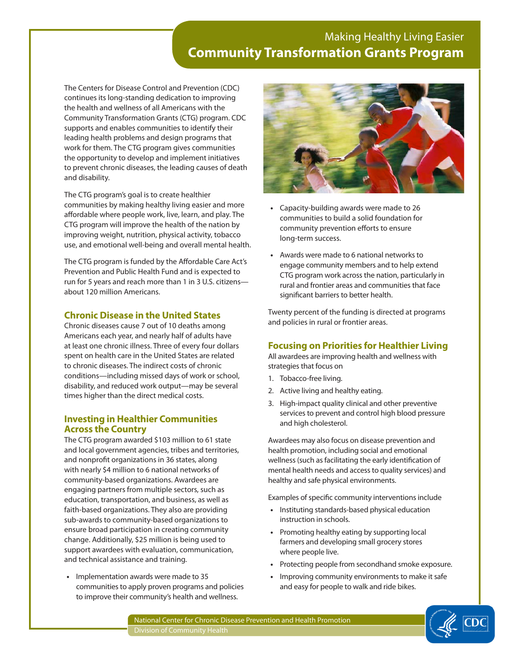## Making Healthy Living Easier **Community Transformation Grants Program**

The Centers for Disease Control and Prevention (CDC) continues its long-standing dedication to improving the health and wellness of all Americans with the Community Transformation Grants (CTG) program. CDC supports and enables communities to identify their leading health problems and design programs that work for them. The CTG program gives communities the opportunity to develop and implement initiatives to prevent chronic diseases, the leading causes of death and disability.

The CTG program's goal is to create healthier communities by making healthy living easier and more affordable where people work, live, learn, and play. The CTG program will improve the health of the nation by improving weight, nutrition, physical activity, tobacco use, and emotional well-being and overall mental health.

The CTG program is funded by the Affordable Care Act's Prevention and Public Health Fund and is expected to run for 5 years and reach more than 1 in 3 U.S. citizens about 120 million Americans.

### **Chronic Disease in the United States**

Chronic diseases cause 7 out of 10 deaths among Americans each year, and nearly half of adults have at least one chronic illness. Three of every four dollars spent on health care in the United States are related to chronic diseases. The indirect costs of chronic conditions—including missed days of work or school, disability, and reduced work output—may be several times higher than the direct medical costs.

### **Investing in Healthier Communities Across the Country**

The CTG program awarded \$103 million to 61 state and local government agencies, tribes and territories, and nonprofit organizations in 36 states, along with nearly \$4 million to 6 national networks of community-based organizations. Awardees are engaging partners from multiple sectors, such as education, transportation, and business, as well as faith-based organizations. They also are providing sub-awards to community-based organizations to ensure broad participation in creating community change. Additionally, \$25 million is being used to support awardees with evaluation, communication, and technical assistance and training.

**•** Implementation awards were made to 35 communities to apply proven programs and policies to improve their community's health and wellness.



- **•** Capacity-building awards were made to 26 communities to build a solid foundation for community prevention efforts to ensure long-term success.
- **•** Awards were made to 6 national networks to engage community members and to help extend CTG program work across the nation, particularly in rural and frontier areas and communities that face significant barriers to better health.

Twenty percent of the funding is directed at programs and policies in rural or frontier areas.

## **Focusing on Priorities for Healthier Living**

All awardees are improving health and wellness with strategies that focus on

- 1. Tobacco-free living.
- 2. Active living and healthy eating.
- 3. High-impact quality clinical and other preventive services to prevent and control high blood pressure and high cholesterol.

Awardees may also focus on disease prevention and health promotion, including social and emotional wellness (such as facilitating the early identification of mental health needs and access to quality services) and healthy and safe physical environments.

Examples of specific community interventions include

- **•** Instituting standards-based physical education instruction in schools.
- **•** Promoting healthy eating by supporting local farmers and developing small grocery stores where people live.
- **•** Protecting people from secondhand smoke exposure.
- **•** Improving community environments to make it safe and easy for people to walk and ride bikes.